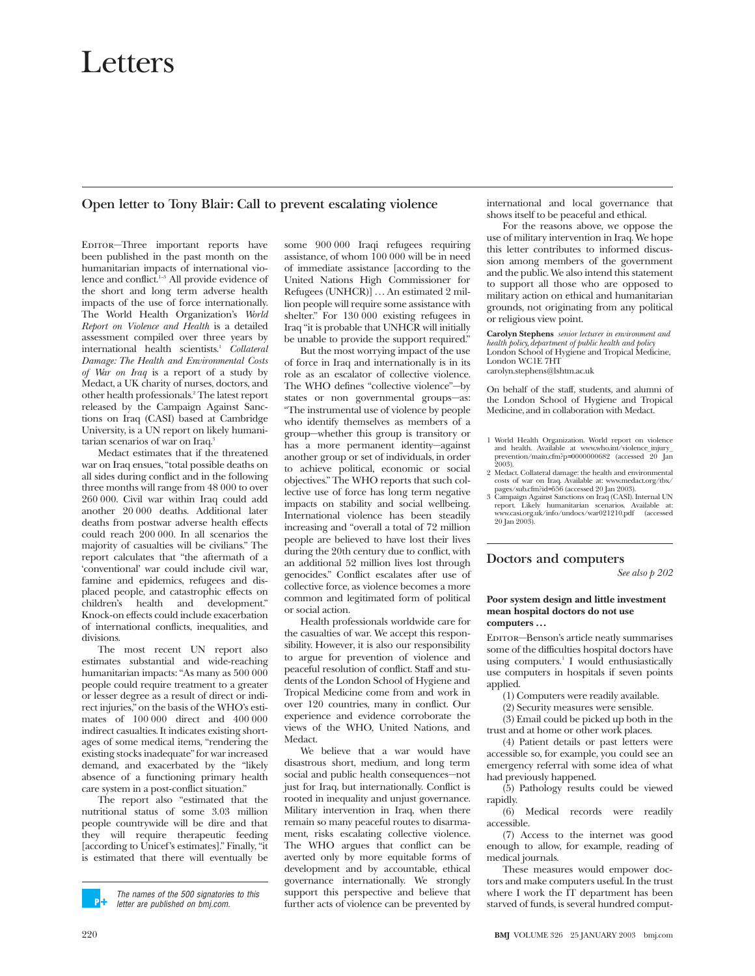# Letters

## **Open letter to Tony Blair: Call to prevent escalating violence**

EDITOR-Three important reports have been published in the past month on the humanitarian impacts of international violence and conflict.1–3 All provide evidence of the short and long term adverse health impacts of the use of force internationally. The World Health Organization's *World Report on Violence and Health* is a detailed assessment compiled over three years by international health scientists.<sup>1</sup> *Collateral Damage: The Health and Environmental Costs of War on Iraq* is a report of a study by Medact, a UK charity of nurses, doctors, and other health professionals.<sup>2</sup> The latest report released by the Campaign Against Sanctions on Iraq (CASI) based at Cambridge University, is a UN report on likely humanitarian scenarios of war on Iraq.<sup>3</sup>

Medact estimates that if the threatened war on Iraq ensues, "total possible deaths on all sides during conflict and in the following three months will range from 48 000 to over 260 000. Civil war within Iraq could add another 20 000 deaths. Additional later deaths from postwar adverse health effects could reach 200 000. In all scenarios the majority of casualties will be civilians." The report calculates that "the aftermath of a 'conventional' war could include civil war, famine and epidemics, refugees and displaced people, and catastrophic effects on children's health and development." Knock-on effects could include exacerbation of international conflicts, inequalities, and divisions.

The most recent UN report also estimates substantial and wide-reaching humanitarian impacts: "As many as 500 000 people could require treatment to a greater or lesser degree as a result of direct or indirect injuries," on the basis of the WHO's estimates of 100 000 direct and 400 000 indirect casualties. It indicates existing shortages of some medical items, "rendering the existing stocks inadequate" for war increased demand, and exacerbated by the "likely absence of a functioning primary health care system in a post-conflict situation."

The report also "estimated that the nutritional status of some 3.03 million people countrywide will be dire and that they will require therapeutic feeding [according to Unicef's estimates]." Finally, "it is estimated that there will eventually be

*The names of the 500 signatories to this letter are published on bmj.com.*

some 900 000 Iraqi refugees requiring assistance, of whom 100 000 will be in need of immediate assistance [according to the United Nations High Commissioner for Refugees (UNHCR)] ... An estimated 2 million people will require some assistance with shelter." For 130 000 existing refugees in Iraq "it is probable that UNHCR will initially be unable to provide the support required."

But the most worrying impact of the use of force in Iraq and internationally is in its role as an escalator of collective violence. The WHO defines "collective violence"—by states or non governmental groups—as: "The instrumental use of violence by people who identify themselves as members of a group—whether this group is transitory or has a more permanent identity—against another group or set of individuals, in order to achieve political, economic or social objectives." The WHO reports that such collective use of force has long term negative impacts on stability and social wellbeing. International violence has been steadily increasing and "overall a total of 72 million people are believed to have lost their lives during the 20th century due to conflict, with an additional 52 million lives lost through genocides." Conflict escalates after use of collective force, as violence becomes a more common and legitimated form of political or social action.

Health professionals worldwide care for the casualties of war. We accept this responsibility. However, it is also our responsibility to argue for prevention of violence and peaceful resolution of conflict. Staff and students of the London School of Hygiene and Tropical Medicine come from and work in over 120 countries, many in conflict. Our experience and evidence corroborate the views of the WHO, United Nations, and Medact.

We believe that a war would have disastrous short, medium, and long term social and public health consequences—not just for Iraq, but internationally. Conflict is rooted in inequality and unjust governance. Military intervention in Iraq, when there remain so many peaceful routes to disarmament, risks escalating collective violence. The WHO argues that conflict can be averted only by more equitable forms of development and by accountable, ethical governance internationally. We strongly support this perspective and believe that further acts of violence can be prevented by

international and local governance that shows itself to be peaceful and ethical.

For the reasons above, we oppose the use of military intervention in Iraq. We hope this letter contributes to informed discussion among members of the government and the public. We also intend this statement to support all those who are opposed to military action on ethical and humanitarian grounds, not originating from any political or religious view point.

**Carolyn Stephens** *senior lecturer in environment and health policy, department of public health and policy* London School of Hygiene and Tropical Medicine, London WC1E 7HT carolyn.stephens@lshtm.ac.uk

On behalf of the staff, students, and alumni of the London School of Hygiene and Tropical Medicine, and in collaboration with Medact.

3 Campaign Against Sanctions on Iraq (CASI). Internal UN report. Likely humanitarian scenarios. Available at: www.casi.org.uk/info/undocs/war021210.pdf (accessed 20 Jan 2003).

## **Doctors and computers**

*See also p 202*

#### **Poor system design and little investment mean hospital doctors do not use computers . . .**

EDITOR-Benson's article neatly summarises some of the difficulties hospital doctors have using computers.<sup>1</sup> I would enthusiastically use computers in hospitals if seven points applied.

(1) Computers were readily available.

(2) Security measures were sensible.

(3) Email could be picked up both in the trust and at home or other work places.

(4) Patient details or past letters were accessible so, for example, you could see an emergency referral with some idea of what had previously happened.

(5) Pathology results could be viewed rapidly.

(6) Medical records were readily accessible.

(7) Access to the internet was good enough to allow, for example, reading of medical journals.

These measures would empower doctors and make computers useful. In the trust where I work the  $IT$  department has been starved of funds, is several hundred comput-

<sup>1</sup> World Health Organization. World report on violence and health. Available at www.who.int/violence\_injury\_ prevention/main.cfm?p=0000000682 (accessed 20 Jan 2003).

<sup>2</sup> Medact. Collateral damage: the health and environmental costs of war on Iraq. Available at: www.medact.org/tbx/ pages/sub.cfm?id=556 (accessed 20 Jan 2003).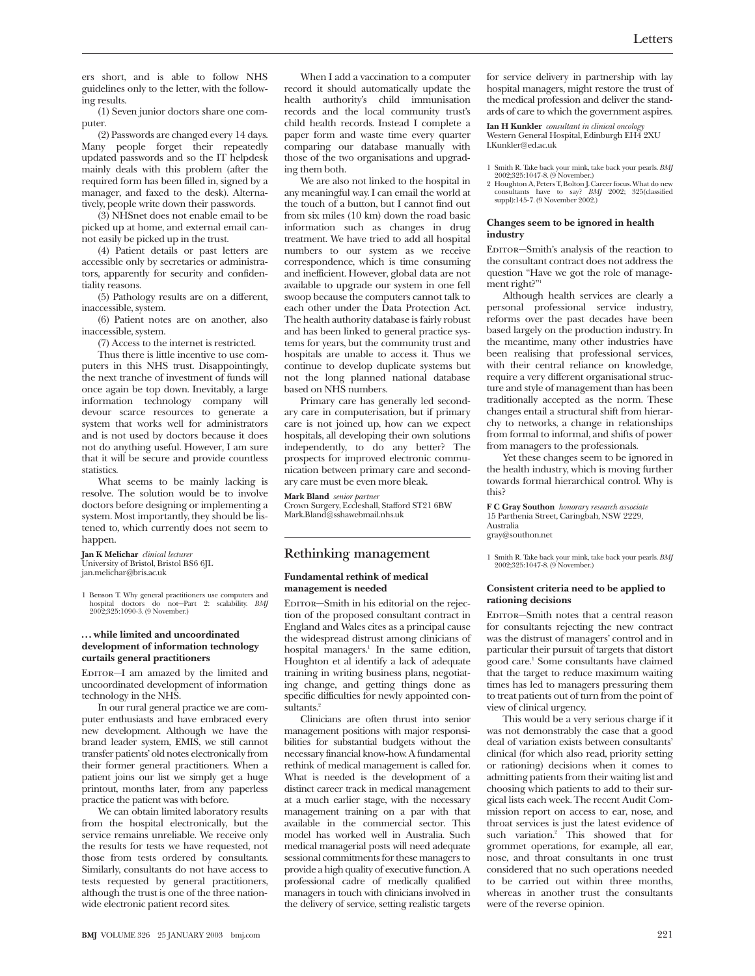ers short, and is able to follow NHS guidelines only to the letter, with the following results.

(1) Seven junior doctors share one computer.

(2) Passwords are changed every 14 days. Many people forget their repeatedly updated passwords and so the IT helpdesk mainly deals with this problem (after the required form has been filled in, signed by a manager, and faxed to the desk). Alternatively, people write down their passwords.

(3) NHSnet does not enable email to be picked up at home, and external email cannot easily be picked up in the trust.

(4) Patient details or past letters are accessible only by secretaries or administrators, apparently for security and confidentiality reasons.

(5) Pathology results are on a different, inaccessible, system.

(6) Patient notes are on another, also inaccessible, system.

(7) Access to the internet is restricted.

Thus there is little incentive to use computers in this NHS trust. Disappointingly, the next tranche of investment of funds will once again be top down. Inevitably, a large information technology company will devour scarce resources to generate a system that works well for administrators and is not used by doctors because it does not do anything useful. However, I am sure that it will be secure and provide countless statistics.

What seems to be mainly lacking is resolve. The solution would be to involve doctors before designing or implementing a system. Most importantly, they should be listened to, which currently does not seem to happen.

**Jan K Melichar** *clinical lecturer* University of Bristol, Bristol BS6 6JL jan.melichar@bris.ac.uk

1 Benson T. Why general practitioners use computers and doctors do not—Part 2: scalability. *BMJ* 2002;325:1090-3. (9 November.)

#### **. . . while limited and uncoordinated development of information technology curtails general practitioners**

EDITOR-I am amazed by the limited and uncoordinated development of information technology in the NHS.

In our rural general practice we are computer enthusiasts and have embraced every new development. Although we have the brand leader system, EMIS, we still cannot transfer patients' old notes electronically from their former general practitioners. When a patient joins our list we simply get a huge printout, months later, from any paperless practice the patient was with before.

We can obtain limited laboratory results from the hospital electronically, but the service remains unreliable. We receive only the results for tests we have requested, not those from tests ordered by consultants. Similarly, consultants do not have access to tests requested by general practitioners, although the trust is one of the three nationwide electronic patient record sites.

When I add a vaccination to a computer record it should automatically update the health authority's child immunisation records and the local community trust's child health records. Instead I complete a paper form and waste time every quarter comparing our database manually with those of the two organisations and upgrading them both.

We are also not linked to the hospital in any meaningful way. I can email the world at the touch of a button, but I cannot find out from six miles (10 km) down the road basic information such as changes in drug treatment. We have tried to add all hospital numbers to our system as we receive correspondence, which is time consuming and inefficient. However, global data are not available to upgrade our system in one fell swoop because the computers cannot talk to each other under the Data Protection Act. The health authority database is fairly robust and has been linked to general practice systems for years, but the community trust and hospitals are unable to access it. Thus we continue to develop duplicate systems but not the long planned national database based on NHS numbers.

Primary care has generally led secondary care in computerisation, but if primary care is not joined up, how can we expect hospitals, all developing their own solutions independently, to do any better? The prospects for improved electronic communication between primary care and secondary care must be even more bleak.

**Mark Bland** *senior partner*

Crown Surgery, Eccleshall, Stafford ST21 6BW Mark.Bland@sshawebmail.nhs.uk

#### **Rethinking management**

#### **Fundamental rethink of medical management is needed**

EDITOR-Smith in his editorial on the rejection of the proposed consultant contract in England and Wales cites as a principal cause the widespread distrust among clinicians of hospital managers.<sup>1</sup> In the same edition, Houghton et al identify a lack of adequate training in writing business plans, negotiating change, and getting things done as specific difficulties for newly appointed consultants.<sup>2</sup>

Clinicians are often thrust into senior management positions with major responsibilities for substantial budgets without the necessary financial know-how. A fundamental rethink of medical management is called for. What is needed is the development of a distinct career track in medical management at a much earlier stage, with the necessary management training on a par with that available in the commercial sector. This model has worked well in Australia. Such medical managerial posts will need adequate sessional commitments for these managers to provide a high quality of executive function. A professional cadre of medically qualified managers in touch with clinicians involved in the delivery of service, setting realistic targets

for service delivery in partnership with lay hospital managers, might restore the trust of the medical profession and deliver the standards of care to which the government aspires.

**Ian H Kunkler** *consultant in clinical oncology* Western General Hospital, Edinburgh EH4 2XU I.Kunkler@ed.ac.uk

- 1 Smith R. Take back your mink, take back your pearls. *BMJ*
- 2002;325:1047-8. (9 November.) 2 Houghton A, Peters T, Bolton J. Career focus. What do new consultants have to say? *BMJ* 2002; 325(classified suppl):145-7. (9 November 2002.)

#### **Changes seem to be ignored in health industry**

EDITOR-Smith's analysis of the reaction to the consultant contract does not address the question "Have we got the role of management right?"<sup>1</sup>

Although health services are clearly a personal professional service industry, reforms over the past decades have been based largely on the production industry. In the meantime, many other industries have been realising that professional services, with their central reliance on knowledge, require a very different organisational structure and style of management than has been traditionally accepted as the norm. These changes entail a structural shift from hierarchy to networks, a change in relationships from formal to informal, and shifts of power from managers to the professionals.

Yet these changes seem to be ignored in the health industry, which is moving further towards formal hierarchical control. Why is this?

**F C Gray Southon** *honorary research associate* 15 Parthenia Street, Caringbah, NSW 2229, Australia gray@southon.net

1 Smith R. Take back your mink, take back your pearls. *BMJ* 2002;325:1047-8. (9 November.)

#### **Consistent criteria need to be applied to rationing decisions**

EDITOR-Smith notes that a central reason for consultants rejecting the new contract was the distrust of managers' control and in particular their pursuit of targets that distort good care.<sup>1</sup> Some consultants have claimed that the target to reduce maximum waiting times has led to managers pressuring them to treat patients out of turn from the point of view of clinical urgency.

This would be a very serious charge if it was not demonstrably the case that a good deal of variation exists between consultants' clinical (for which also read, priority setting or rationing) decisions when it comes to admitting patients from their waiting list and choosing which patients to add to their surgical lists each week. The recent Audit Commission report on access to ear, nose, and throat services is just the latest evidence of such variation.<sup>2</sup> This showed that for grommet operations, for example, all ear, nose, and throat consultants in one trust considered that no such operations needed to be carried out within three months, whereas in another trust the consultants were of the reverse opinion.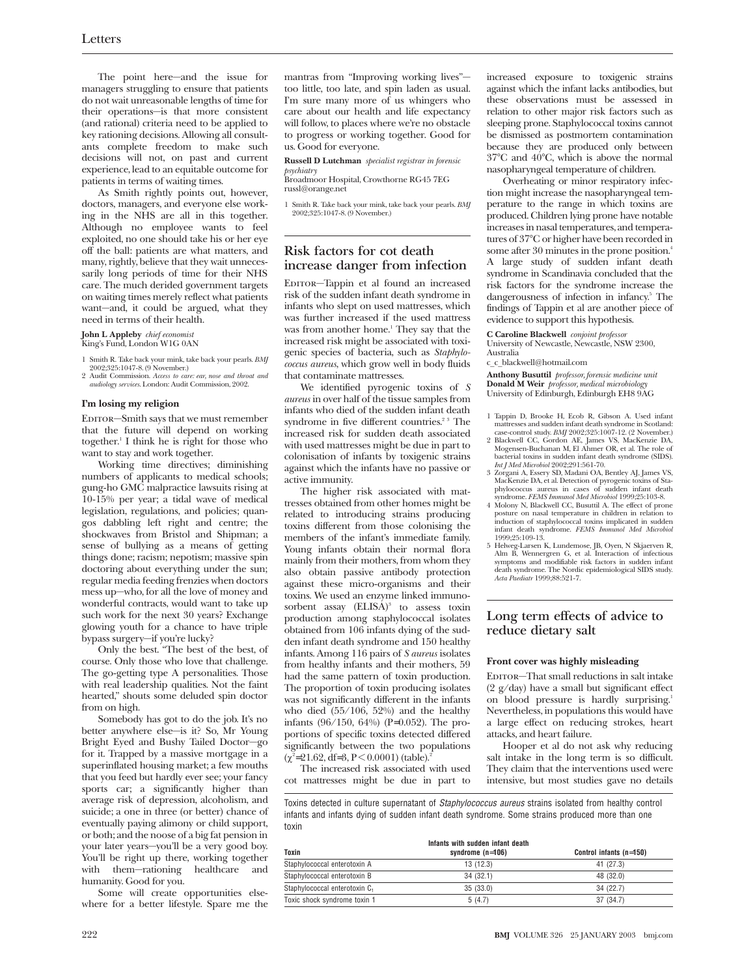The point here—and the issue for managers struggling to ensure that patients do not wait unreasonable lengths of time for their operations—is that more consistent (and rational) criteria need to be applied to key rationing decisions. Allowing all consultants complete freedom to make such decisions will not, on past and current experience, lead to an equitable outcome for patients in terms of waiting times.

As Smith rightly points out, however, doctors, managers, and everyone else working in the NHS are all in this together. Although no employee wants to feel exploited, no one should take his or her eye off the ball: patients are what matters, and many, rightly, believe that they wait unnecessarily long periods of time for their NHS care. The much derided government targets on waiting times merely reflect what patients want—and, it could be argued, what they need in terms of their health.

**John L Appleby** *chief economist* King's Fund, London W1G 0AN

- 1 Smith R. Take back your mink, take back your pearls. *BMJ* 2002;325:1047-8. (9 November.)
- 2 Audit Commission. *Access to care: ear, nose and throat and audiology services*. London: Audit Commission, 2002.

#### **I'm losing my religion**

EDITOR-Smith says that we must remember that the future will depend on working together.<sup>1</sup> I think he is right for those who want to stay and work together.

Working time directives; diminishing numbers of applicants to medical schools; gung-ho GMC malpractice lawsuits rising at 10-15% per year; a tidal wave of medical legislation, regulations, and policies; quangos dabbling left right and centre; the shockwaves from Bristol and Shipman; a sense of bullying as a means of getting things done; racism; nepotism; massive spin doctoring about everything under the sun; regular media feeding frenzies when doctors mess up—who, for all the love of money and wonderful contracts, would want to take up such work for the next 30 years? Exchange glowing youth for a chance to have triple bypass surgery—if you're lucky?

Only the best. "The best of the best, of course. Only those who love that challenge. The go-getting type A personalities. Those with real leadership qualities. Not the faint hearted," shouts some deluded spin doctor from on high.

Somebody has got to do the job. It's no better anywhere else—is it? So, Mr Young Bright Eyed and Bushy Tailed Doctor—go for it. Trapped by a massive mortgage in a superinflated housing market; a few mouths that you feed but hardly ever see; your fancy sports car; a significantly higher than average risk of depression, alcoholism, and suicide; a one in three (or better) chance of eventually paying alimony or child support, or both; and the noose of a big fat pension in your later years—you'll be a very good boy. You'll be right up there, working together with them—rationing healthcare and humanity. Good for you.

Some will create opportunities elsewhere for a better lifestyle. Spare me the mantras from "Improving working lives" too little, too late, and spin laden as usual. I'm sure many more of us whingers who care about our health and life expectancy will follow, to places where we're no obstacle to progress or working together. Good for us. Good for everyone.

**Russell D Lutchman** *specialist registrar in forensic psychiatry* Broadmoor Hospital, Crowthorne RG45 7EG

russl@orange.net

1 Smith R. Take back your mink, take back your pearls. *BMJ* 2002;325:1047-8. (9 November.)

## **Risk factors for cot death increase danger from infection**

EDITOR-Tappin et al found an increased risk of the sudden infant death syndrome in infants who slept on used mattresses, which was further increased if the used mattress was from another home.<sup>1</sup> They say that the increased risk might be associated with toxigenic species of bacteria, such as *Staphylococcus aureus*, which grow well in body fluids that contaminate mattresses.

We identified pyrogenic toxins of *S aureus* in over half of the tissue samples from infants who died of the sudden infant death syndrome in five different countries.<sup>23</sup> The increased risk for sudden death associated with used mattresses might be due in part to colonisation of infants by toxigenic strains against which the infants have no passive or active immunity.

The higher risk associated with mattresses obtained from other homes might be related to introducing strains producing toxins different from those colonising the members of the infant's immediate family. Young infants obtain their normal flora mainly from their mothers, from whom they also obtain passive antibody protection against these micro-organisms and their toxins. We used an enzyme linked immunosorbent assay  $(ELISA)^3$  to assess toxin production among staphylococcal isolates obtained from 106 infants dying of the sudden infant death syndrome and 150 healthy infants. Among 116 pairs of *S aureus* isolates from healthy infants and their mothers, 59 had the same pattern of toxin production. The proportion of toxin producing isolates was not significantly different in the infants who died  $(55/106, 52%)$  and the healthy infants (96/150, 64%) (P=0.052). The proportions of specific toxins detected differed significantly between the two populations  $(\chi^2=21.62, df=3, P < 0.0001)$  (table).<sup>2</sup>

The increased risk associated with used cot mattresses might be due in part to increased exposure to toxigenic strains against which the infant lacks antibodies, but these observations must be assessed in relation to other major risk factors such as sleeping prone. Staphylococcal toxins cannot be dismissed as postmortem contamination because they are produced only between 37°C and 40°C, which is above the normal nasopharyngeal temperature of children.

Overheating or minor respiratory infection might increase the nasopharyngeal temperature to the range in which toxins are produced. Children lying prone have notable increases in nasal temperatures, and temperatures of 37°C or higher have been recorded in some after 30 minutes in the prone position.<sup>4</sup> A large study of sudden infant death syndrome in Scandinavia concluded that the risk factors for the syndrome increase the dangerousness of infection in infancy.<sup>5</sup> The findings of Tappin et al are another piece of evidence to support this hypothesis.

**C Caroline Blackwell** *conjoint professo* University of Newcastle, Newcastle, NSW 2300, Australia

c\_c\_blackwell@hotmail.com

**Anthony Busuttil** *professor, forensic medicine unit* **Donald M Weir** *professor, medical microbiology* University of Edinburgh, Edinburgh EH8 9AG

1 Tappin D, Brooke H, Ecob R, Gibson A. Used infant mattresses and sudden infant death syndrome in Scotland: case-control study. *BMJ* 2002;325:1007-12. (2 November.)

- 2 Blackwell CC, Gordon AE, James VS, MacKenzie DA, Mogensen-Buchanan M, El Ahmer OR, et al. The role of bacterial toxins in sudden infant death syndrome (SIDS).
- *Int J Med Microbiol* 2002;291:561-70. 3 Zorgani A, Essery SD, Madani OA, Bentley AJ, James VS, MacKenzie DA, et al. Detection of pyrogenic toxins of Staphylococcus aureus in cases of sudden infant death syndrome. *FEMS Immunol Med Microbiol* 1999;25:103-8. 4 Molony N, Blackwell CC, Busuttil A. The effect of prone
- posture on nasal temperature in children in relation to induction of staphylococcal toxins implicated in sudden infant death syndrome. *FEMS Immunol Med Microbiol* 1999;25:109-13.

5 Helweg-Larsen K, Lundemose, JB, Oyen, N Skjaerven R, Alm B, Wennergren G, et al. Interaction of infectious symptoms and modifiable risk factors in sudden infant death syndrome. The Nordic epidemiological SIDS study. *Acta Paediatr* 1999;88:521-7.

## **Long term effects of advice to reduce dietary salt**

#### **Front cover was highly misleading**

EDITOR-That small reductions in salt intake  $(2 \text{ g/day})$  have a small but significant effect on blood pressure is hardly surprising.<sup>1</sup> Nevertheless, in populations this would have a large effect on reducing strokes, heart attacks, and heart failure.

Hooper et al do not ask why reducing salt intake in the long term is so difficult. They claim that the interventions used were intensive, but most studies gave no details

Toxins detected in culture supernatant of *Staphylococcus aureus* strains isolated from healthy control infants and infants dying of sudden infant death syndrome. Some strains produced more than one toxin

| Infants with sudden infant death          |                    |                           |  |  |  |  |  |
|-------------------------------------------|--------------------|---------------------------|--|--|--|--|--|
| Toxin                                     | syndrome $(n=106)$ | Control infants $(n=150)$ |  |  |  |  |  |
| Staphylococcal enterotoxin A              | 13 (12.3)          | 41 (27.3)                 |  |  |  |  |  |
| Staphylococcal enterotoxin B              | 34(32.1)           | 48 (32.0)                 |  |  |  |  |  |
| Staphylococcal enterotoxin C <sub>1</sub> | 35(33.0)           | 34 (22.7)                 |  |  |  |  |  |
| Toxic shock syndrome toxin 1              | 5(4.7)             | 37 (34.7)                 |  |  |  |  |  |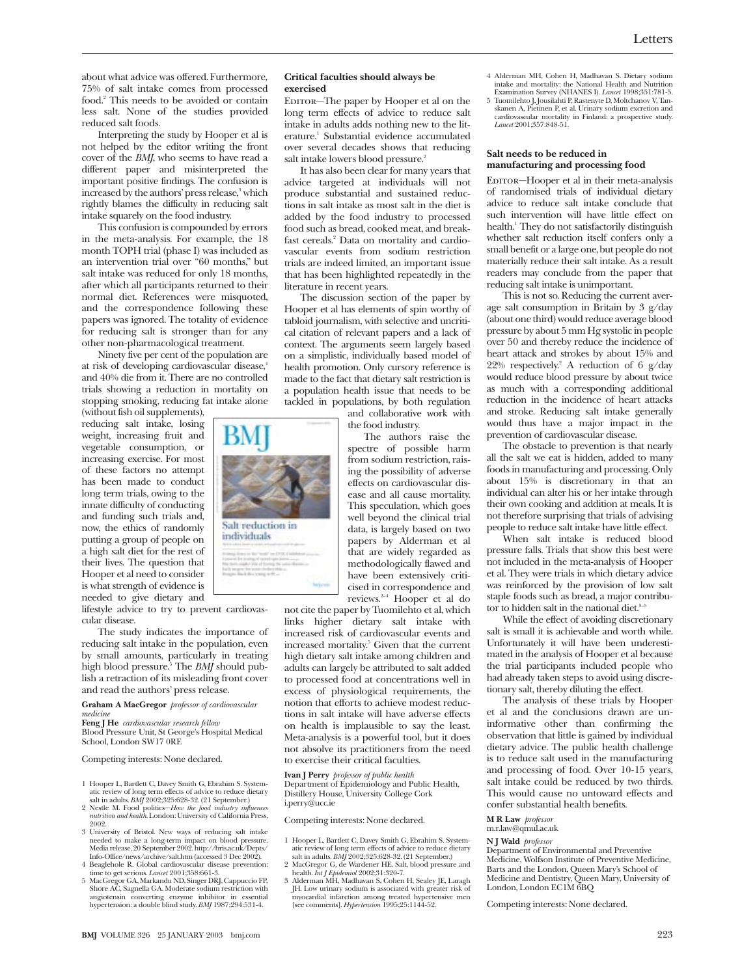about what advice was offered. Furthermore, 75% of salt intake comes from processed food.<sup>2</sup> This needs to be avoided or contain less salt. None of the studies provided reduced salt foods.

Interpreting the study by Hooper et al is not helped by the editor writing the front cover of the *BMJ*, who seems to have read a different paper and misinterpreted the important positive findings. The confusion is increased by the authors' press release,<sup>3</sup> which rightly blames the difficulty in reducing salt intake squarely on the food industry.

This confusion is compounded by errors in the meta-analysis. For example, the 18 month TOPH trial (phase I) was included as an intervention trial over "60 months," but salt intake was reduced for only 18 months, after which all participants returned to their normal diet. References were misquoted, and the correspondence following these papers was ignored. The totality of evidence for reducing salt is stronger than for any other non-pharmacological treatment.

Ninety five per cent of the population are at risk of developing cardiovascular disease,<sup>4</sup> and 40% die from it. There are no controlled trials showing a reduction in mortality on stopping smoking, reducing fat intake alone

(without fish oil supplements), reducing salt intake, losing weight, increasing fruit and vegetable consumption, or increasing exercise. For most of these factors no attempt has been made to conduct long term trials, owing to the innate difficulty of conducting and funding such trials and, now, the ethics of randomly putting a group of people on a high salt diet for the rest of their lives. The question that Hooper et al need to consider is what strength of evidence is needed to give dietary and

lifestyle advice to try to prevent cardiovascular disease.

The study indicates the importance of reducing salt intake in the population, even by small amounts, particularly in treating high blood pressure.<sup>5</sup> The *BMJ* should publish a retraction of its misleading front cover and read the authors' press release.

**Graham A MacGregor** *professor of cardiovascular medicine*

**Feng J He** *cardiovascular research fellow* Blood Pressure Unit, St George's Hospital Medical School, London SW17 0RE

Competing interests: None declared.

- 1 Hooper L, Bartlett C, Davey Smith G, Ebrahim S. System-atic review of long term effects of advice to reduce dietary salt in adults. *BMJ* 2002;325:628-32. (21 September.)
- 2 Nestle M. Food politics—*How the food industry influences nutrition and health*. London: University of California Press, 2002.
- 3 University of Bristol. New ways of reducing salt intake needed to make a long-term impact on blood pressure. Media release, 20 September 2002. http://bris.ac.uk/Depts/ Info-Office/news/archive/salt.htm (accessed 3 Dec 2002).
- 4 Beaglehole R. Global cardiovascular disease prevention: time to get serious. *Lancet* 2001;358:661-3.
- 5 MacGregor GA, Markandu ND, Singer DRJ, Cappuccio FP, Shore AC, Sagnella GA. Moderate sodium restriction with angiotensin converting enzyme inhibitor in essential hypertension: a double blind study. *BMJ* 1987;294:531-4.

#### **Critical faculties should always be exercised**

EDITOR-The paper by Hooper et al on the long term effects of advice to reduce salt intake in adults adds nothing new to the literature.<sup>1</sup> Substantial evidence accumulated over several decades shows that reducing salt intake lowers blood pressure.<sup>2</sup>

It has also been clear for many years that advice targeted at individuals will not produce substantial and sustained reductions in salt intake as most salt in the diet is added by the food industry to processed food such as bread, cooked meat, and breakfast cereals.<sup>2</sup> Data on mortality and cardiovascular events from sodium restriction trials are indeed limited, an important issue that has been highlighted repeatedly in the literature in recent years.

The discussion section of the paper by Hooper et al has elements of spin worthy of tabloid journalism, with selective and uncritical citation of relevant papers and a lack of context. The arguments seem largely based on a simplistic, individually based model of health promotion. Only cursory reference is made to the fact that dietary salt restriction is a population health issue that needs to be tackled in populations, by both regulation and collaborative work with

the food industry.

The authors raise the spectre of possible harm from sodium restriction, raising the possibility of adverse effects on cardiovascular disease and all cause mortality. This speculation, which goes well beyond the clinical trial data, is largely based on two papers by Alderman et al that are widely regarded as methodologically flawed and have been extensively criticised in correspondence and reviews.2–4 Hooper et al do

not cite the paper by Tuomilehto et al, which links higher dietary salt intake with increased risk of cardiovascular events and increased mortality.<sup>5</sup> Given that the current high dietary salt intake among children and adults can largely be attributed to salt added to processed food at concentrations well in excess of physiological requirements, the notion that efforts to achieve modest reductions in salt intake will have adverse effects on health is implausible to say the least. Meta-analysis is a powerful tool, but it does not absolve its practitioners from the need to exercise their critical faculties.

**Ivan J Perry** *professor of public health* Department of Epidemiology and Public Health, Distillery House, University College Cork i.perry@ucc.ie

Competing interests: None declared.

- 1 Hooper L, Bartlett C, Davey Smith G, Ebrahim S. Systematic review of long term effects of advice to reduce dietary salt in adults. *BMJ* 2002;325:628-32. (21 September.)
- 2 MacGregor G, de Wardener HE. Salt, blood pressure and health. *Int J Epidemiol* 2002;31:320-7.
- 3 Alderman MH, Madhavan S, Cohen H, Sealey JE, Laragh JH. Low urinary sodium is associated with greater risk of myocardial infarction among treated hypertensive men [see comments]. *Hypertension* 1995;25:1144-52.
- 4 Alderman MH, Cohen H, Madhavan S. Dietary sodium intake and mortality: the National Health and Nutrition Examination Survey (NHANES I). *Lancet* 1998;351:781-5. 5 Tuomilehto J, Jousilahti P, Rastenyte D, Moltchanov V, Tan-
- skanen A, Pietinen P, et al. Urinary sodium excretion and cardiovascular mortality in Finland: a prospective study. *Lancet* 2001;357:848-51.

#### **Salt needs to be reduced in manufacturing and processing food**

EDITOR-Hooper et al in their meta-analysis of randomised trials of individual dietary advice to reduce salt intake conclude that such intervention will have little effect on health.<sup>1</sup> They do not satisfactorily distinguish whether salt reduction itself confers only a small benefit or a large one, but people do not materially reduce their salt intake. As a result readers may conclude from the paper that reducing salt intake is unimportant.

This is not so. Reducing the current average salt consumption in Britain by 3 g/day (about one third) would reduce average blood pressure by about 5 mm Hg systolic in people over 50 and thereby reduce the incidence of heart attack and strokes by about 15% and 22% respectively.<sup>2</sup> A reduction of 6 g/day would reduce blood pressure by about twice as much with a corresponding additional reduction in the incidence of heart attacks and stroke. Reducing salt intake generally would thus have a major impact in the prevention of cardiovascular disease.

The obstacle to prevention is that nearly all the salt we eat is hidden, added to many foods in manufacturing and processing. Only about 15% is discretionary in that an individual can alter his or her intake through their own cooking and addition at meals. It is not therefore surprising that trials of advising people to reduce salt intake have little effect.

When salt intake is reduced blood pressure falls. Trials that show this best were not included in the meta-analysis of Hooper et al. They were trials in which dietary advice was reinforced by the provision of low salt staple foods such as bread, a major contributor to hidden salt in the national diet.<sup>3-5</sup>

While the effect of avoiding discretionary salt is small it is achievable and worth while. Unfortunately it will have been underestimated in the analysis of Hooper et al because the trial participants included people who had already taken steps to avoid using discretionary salt, thereby diluting the effect.

The analysis of these trials by Hooper et al and the conclusions drawn are uninformative other than confirming the observation that little is gained by individual dietary advice. The public health challenge is to reduce salt used in the manufacturing and processing of food. Over 10-15 years, salt intake could be reduced by two thirds. This would cause no untoward effects and confer substantial health benefits.

**M R Law** *professor* m.r.law@qmul.ac.uk

**N J Wald** *professor*

Department of Environmental and Preventive Medicine, Wolfson Institute of Preventive Medicine, Barts and the London, Queen Mary's School of Medicine and Dentistry, Queen Mary, University of London, London EC1M 6BQ

Competing interests: None declared.

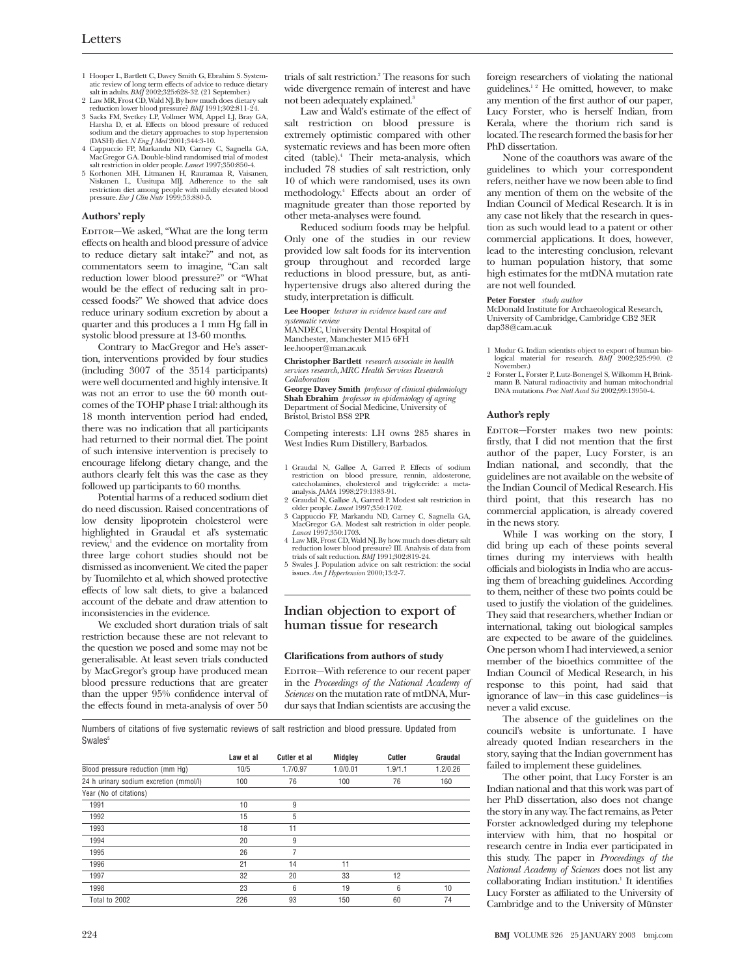- 1 Hooper L, Bartlett C, Davey Smith G, Ebrahim S. Systematic review of long term effects of advice to reduce dietary salt in adults. *BMJ* 2002;325:628-32. (21 September.) 2 Law MR, Frost CD, Wald NJ. By how much does dietary salt
- reduction lower blood pressure? *BMJ* 1991;302:811-24. 3 Sacks FM, Svetkey LP, Vollmer WM, Appel LJ, Bray GA,
- Harsha D, et al. Effects on blood pressure of reduced sodium and the dietary approaches to stop hypertension (DASH) diet. *N Eng J Med* 2001;344:3-10. 4 Cappuccio FP, Markandu ND, Carney C, Sagnella GA,
- MacGregor GA. Double-blind randomised trial of modest salt restriction in older people. *Lancet* 1997;350:850-4. 5 Korhonen MH, Litmanen H, Rauramaa R, Vaisanen, Niskanen L, Uusitupa MIJ. Adherence to the salt restriction diet among people with mildly elevated blood pressure. *Eur J Clin Nutr* 1999;53:880-5.

#### **Authors' reply**

EDITOR-We asked, "What are the long term effects on health and blood pressure of advice to reduce dietary salt intake?" and not, as commentators seem to imagine, "Can salt reduction lower blood pressure?" or "What would be the effect of reducing salt in processed foods?" We showed that advice does reduce urinary sodium excretion by about a quarter and this produces a 1 mm Hg fall in systolic blood pressure at 13-60 months.

Contrary to MacGregor and He's assertion, interventions provided by four studies (including 3007 of the 3514 participants) were well documented and highly intensive. It was not an error to use the 60 month outcomes of the TOHP phase I trial: although its 18 month intervention period had ended, there was no indication that all participants had returned to their normal diet. The point of such intensive intervention is precisely to encourage lifelong dietary change, and the authors clearly felt this was the case as they followed up participants to 60 months.

Potential harms of a reduced sodium diet do need discussion. Raised concentrations of low density lipoprotein cholesterol were highlighted in Graudal et al's systematic review,<sup>1</sup> and the evidence on mortality from three large cohort studies should not be dismissed as inconvenient. We cited the paper by Tuomilehto et al, which showed protective effects of low salt diets, to give a balanced account of the debate and draw attention to inconsistencies in the evidence.

We excluded short duration trials of salt restriction because these are not relevant to the question we posed and some may not be generalisable. At least seven trials conducted by MacGregor's group have produced mean blood pressure reductions that are greater than the upper 95% confidence interval of the effects found in meta-analysis of over 50 trials of salt restriction.<sup>2</sup> The reasons for such wide divergence remain of interest and have not been adequately explained.<sup>3</sup>

Law and Wald's estimate of the effect of salt restriction on blood pressure is extremely optimistic compared with other systematic reviews and has been more often cited (table).<sup>4</sup> Their meta-analysis, which included 78 studies of salt restriction, only 10 of which were randomised, uses its own methodology.<sup>4</sup> Effects about an order of magnitude greater than those reported by other meta-analyses were found.

Reduced sodium foods may be helpful. Only one of the studies in our review provided low salt foods for its intervention group throughout and recorded large reductions in blood pressure, but, as antihypertensive drugs also altered during the study, interpretation is difficult.

**Lee Hooper** *lecturer in evidence based care and systematic review* MANDEC, University Dental Hospital of

Manchester, Manchester M15 6FH lee.hooper@man.ac.uk

**Christopher Bartlett** *research associate in health services research, MRC Health Services Research Collaboration*

**George Davey Smith** *professor of clinical epidemiology* **Shah Ebrahim** *professor in epidemiology of ageing* Department of Social Medicine, University of Bristol, Bristol BS8 2PR

Competing interests: LH owns 285 shares in West Indies Rum Distillery, Barbados.

- 1 Graudal N, Galløe A, Garred P. Effects of sodium restriction on blood pressure, rennin, aldosterone, catecholamines, cholesterol and trigylceride: a meta-analysis. *JAMA* 1998;279:1383-91.
- 2 Graudal N, Galløe A, Garred P. Modest salt restriction in older people. *Lancet* 1997;350:1702.
- 3 Cappuccio FP, Markandu ND, Carney C, Sagnella GA, MacGregor GA. Modest salt restriction in older people. *Lancet* 1997;350:1703.
- 4 Law MR, Frost CD, Wald NJ. By how much does dietary salt reduction lower blood pressure? III. Analysis of data from trials of salt reduction. *BMJ* 1991;302:819-24.
- 5 Swales J. Population advice on salt restriction: the social issues. *Am J Hypertension* 2000;13:2-7.

## **Indian objection to export of human tissue for research**

#### **Clarifications from authors of study**

EDITOR-With reference to our recent paper in the *Proceedings of the National Academy of Sciences* on the mutation rate of mtDNA, Murdur says that Indian scientists are accusing the

Numbers of citations of five systematic reviews of salt restriction and blood pressure. Updated from  $Swales<sup>5</sup>$ 

|                                        | Law et al | Cutler et al | Midgley  | Cutler  | Graudal  |
|----------------------------------------|-----------|--------------|----------|---------|----------|
| Blood pressure reduction (mm Hq)       | 10/5      | 1.7/0.97     | 1.0/0.01 | 1.9/1.1 | 1.2/0.26 |
| 24 h urinary sodium excretion (mmol/l) | 100       | 76           | 100      | 76      | 160      |
| Year (No of citations)                 |           |              |          |         |          |
| 1991                                   | 10        | 9            |          |         |          |
| 1992                                   | 15        | 5            |          |         |          |
| 1993                                   | 18        | 11           |          |         |          |
| 1994                                   | 20        | 9            |          |         |          |
| 1995                                   | 26        | 7            |          |         |          |
| 1996                                   | 21        | 14           | 11       |         |          |
| 1997                                   | 32        | 20           | 33       | 12      |          |
| 1998                                   | 23        | 6            | 19       | 6       | 10       |
| Total to 2002                          | 226       | 93           | 150      | 60      | 74       |
|                                        |           |              |          |         |          |

foreign researchers of violating the national guidelines.<sup>12</sup> He omitted, however, to make any mention of the first author of our paper, Lucy Forster, who is herself Indian, from Kerala, where the thorium rich sand is located. The research formed the basis for her PhD dissertation.

None of the coauthors was aware of the guidelines to which your correspondent refers, neither have we now been able to find any mention of them on the website of the Indian Council of Medical Research. It is in any case not likely that the research in question as such would lead to a patent or other commercial applications. It does, however, lead to the interesting conclusion, relevant to human population history, that some high estimates for the mtDNA mutation rate are not well founded.

#### **Peter Forster** *study author*

McDonald Institute for Archaeological Research, University of Cambridge, Cambridge CB2 3ER dap38@cam.ac.uk

- 1 Mudur G. Indian scientists object to export of human bio-logical material for research. *BMJ* 2002;325:990. (2 November.)
- 2 Forster L, Forster P, Lutz-Bonengel S, Wilkomm H, Brinkmann B. Natural radioactivity and human mitochondrial DNA mutations. *Proc Natl Acad Sci* 2002;99:13950-4.

#### **Author's reply**

EDITOR-Forster makes two new points: firstly, that I did not mention that the first author of the paper, Lucy Forster, is an Indian national, and secondly, that the guidelines are not available on the website of the Indian Council of Medical Research. His third point, that this research has no commercial application, is already covered in the news story.

While I was working on the story, I did bring up each of these points several times during my interviews with health officials and biologists in India who are accusing them of breaching guidelines. According to them, neither of these two points could be used to justify the violation of the guidelines. They said that researchers, whether Indian or international, taking out biological samples are expected to be aware of the guidelines. One person whom I had interviewed, a senior member of the bioethics committee of the Indian Council of Medical Research, in his response to this point, had said that ignorance of law—in this case guidelines—is never a valid excuse.

The absence of the guidelines on the council's website is unfortunate. I have already quoted Indian researchers in the story, saying that the Indian government has failed to implement these guidelines.

The other point, that Lucy Forster is an Indian national and that this work was part of her PhD dissertation, also does not change the story in any way. The fact remains, as Peter Forster acknowledged during my telephone interview with him, that no hospital or research centre in India ever participated in this study. The paper in *Proceedings of the National Academy of Sciences* does not list any collaborating Indian institution.<sup>1</sup> It identifies Lucy Forster as affiliated to the University of Cambridge and to the University of Münster